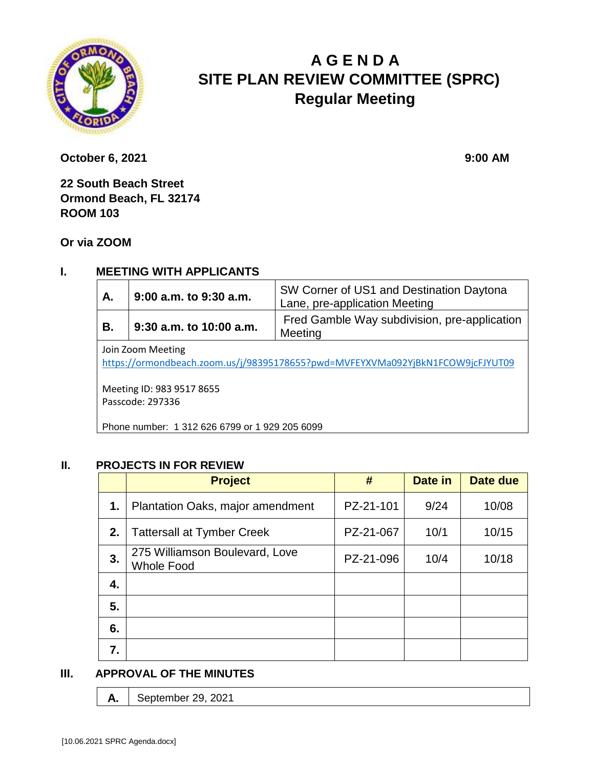

# **A G E N D A SITE PLAN REVIEW COMMITTEE (SPRC) Regular Meeting**

**October 6, 2021** 9:00 **AM** 

**22 South Beach Street Ormond Beach, FL 32174 ROOM 103**

**Or via ZOOM**

# **I. MEETING WITH APPLICANTS**

| Α.                | 9:00 a.m. to 9:30 a.m.  | SW Corner of US1 and Destination Daytona<br>Lane, pre-application Meeting |  |  |
|-------------------|-------------------------|---------------------------------------------------------------------------|--|--|
| В.                | 9:30 a.m. to 10:00 a.m. | Fred Gamble Way subdivision, pre-application<br>Meeting                   |  |  |
| Join Zoom Meeting |                         |                                                                           |  |  |

<https://ormondbeach.zoom.us/j/98395178655?pwd=MVFEYXVMa092YjBkN1FCOW9jcFJYUT09>

Meeting ID: 983 9517 8655 Passcode: 297336

Phone number: 1 312 626 6799 or 1 929 205 6099

#### **II. PROJECTS IN FOR REVIEW**

|    | <b>Project</b>                                      | #         | Date in | Date due |
|----|-----------------------------------------------------|-----------|---------|----------|
| 1. | <b>Plantation Oaks, major amendment</b>             | PZ-21-101 | 9/24    | 10/08    |
| 2. | <b>Tattersall at Tymber Creek</b>                   | PZ-21-067 | 10/1    | 10/15    |
| 3. | 275 Williamson Boulevard, Love<br><b>Whole Food</b> | PZ-21-096 | 10/4    | 10/18    |
| 4. |                                                     |           |         |          |
| 5. |                                                     |           |         |          |
| 6. |                                                     |           |         |          |
| 7. |                                                     |           |         |          |

#### **III. APPROVAL OF THE MINUTES**

**A.** September 29, 2021

[10.06.2021 SPRC Agenda.docx]